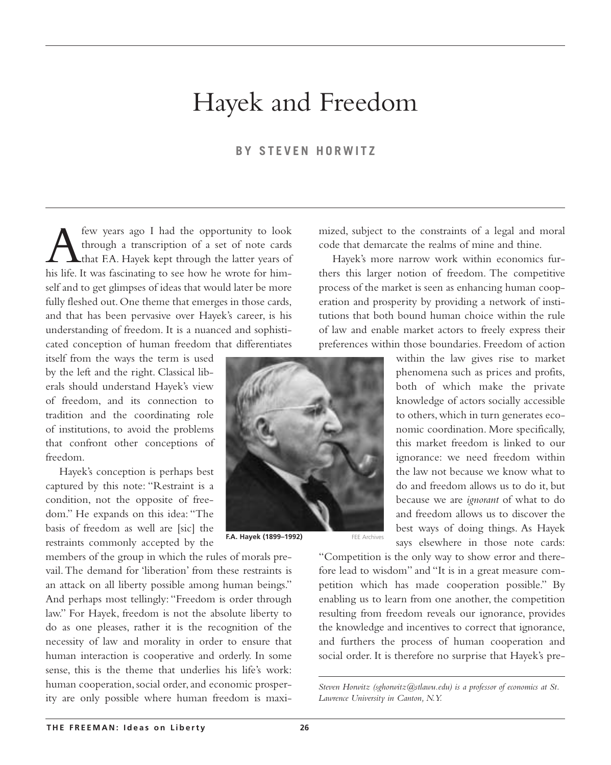# Hayek and Freedom

#### **BY STEVEN HORWITZ**

**A** few years ago I had the opportunity to look<br>through a transcription of a set of note cards<br>that E.A. Hayek kept through the latter years of<br>his life. It was fascinating to see how he wrote for himthrough a transcription of a set of note cards that F.A. Hayek kept through the latter years of his life. It was fascinating to see how he wrote for himself and to get glimpses of ideas that would later be more fully fleshed out.One theme that emerges in those cards, and that has been pervasive over Hayek's career, is his understanding of freedom. It is a nuanced and sophisticated conception of human freedom that differentiates

itself from the ways the term is used by the left and the right. Classical liberals should understand Hayek's view of freedom, and its connection to tradition and the coordinating role of institutions, to avoid the problems that confront other conceptions of freedom.

Hayek's conception is perhaps best captured by this note: "Restraint is a condition, not the opposite of freedom." He expands on this idea: "The basis of freedom as well are [sic] the restraints commonly accepted by the

members of the group in which the rules of morals prevail.The demand for 'liberation' from these restraints is an attack on all liberty possible among human beings." And perhaps most tellingly: "Freedom is order through law." For Hayek, freedom is not the absolute liberty to do as one pleases, rather it is the recognition of the necessity of law and morality in order to ensure that human interaction is cooperative and orderly. In some sense, this is the theme that underlies his life's work: human cooperation, social order, and economic prosperity are only possible where human freedom is maximized, subject to the constraints of a legal and moral code that demarcate the realms of mine and thine.

Hayek's more narrow work within economics furthers this larger notion of freedom. The competitive process of the market is seen as enhancing human cooperation and prosperity by providing a network of institutions that both bound human choice within the rule of law and enable market actors to freely express their preferences within those boundaries. Freedom of action

> within the law gives rise to market phenomena such as prices and profits, both of which make the private knowledge of actors socially accessible to others,which in turn generates economic coordination. More specifically, this market freedom is linked to our ignorance: we need freedom within the law not because we know what to do and freedom allows us to do it, but because we are *ignorant* of what to do and freedom allows us to discover the best ways of doing things. As Hayek says elsewhere in those note cards:

"Competition is the only way to show error and therefore lead to wisdom" and "It is in a great measure competition which has made cooperation possible." By enabling us to learn from one another, the competition resulting from freedom reveals our ignorance, provides the knowledge and incentives to correct that ignorance, and furthers the process of human cooperation and social order. It is therefore no surprise that Hayek's pre-

*Steven Horwitz (sghorwitz@stlawu.edu) is a professor of economics at St. Lawrence University in Canton, N.Y.*



**F.A. Hayek (1899–1992)** FEE Archives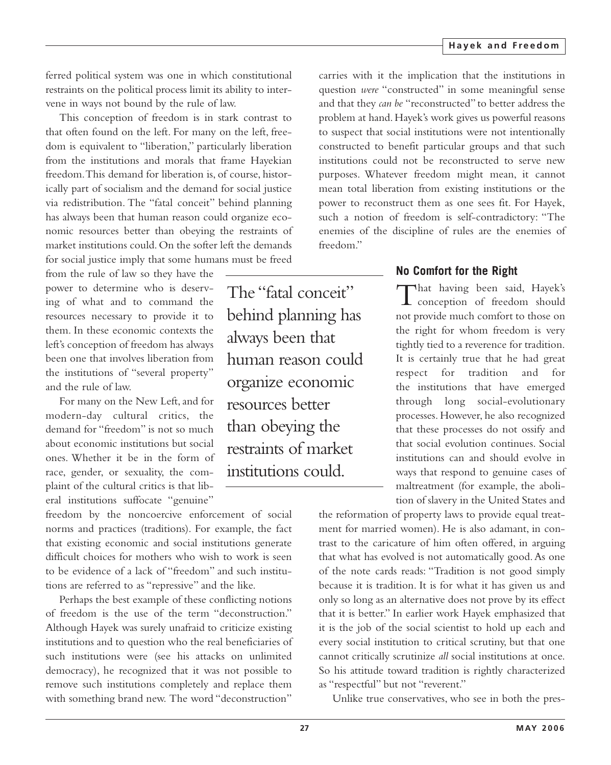ferred political system was one in which constitutional restraints on the political process limit its ability to intervene in ways not bound by the rule of law.

This conception of freedom is in stark contrast to that often found on the left. For many on the left, freedom is equivalent to "liberation," particularly liberation from the institutions and morals that frame Hayekian freedom.This demand for liberation is, of course, historically part of socialism and the demand for social justice via redistribution. The "fatal conceit" behind planning has always been that human reason could organize economic resources better than obeying the restraints of market institutions could. On the softer left the demands for social justice imply that some humans must be freed

from the rule of law so they have the power to determine who is deserving of what and to command the resources necessary to provide it to them. In these economic contexts the left's conception of freedom has always been one that involves liberation from the institutions of "several property" and the rule of law.

For many on the New Left, and for modern-day cultural critics, the demand for "freedom" is not so much about economic institutions but social ones. Whether it be in the form of race, gender, or sexuality, the complaint of the cultural critics is that liberal institutions suffocate "genuine"

freedom by the noncoercive enforcement of social norms and practices (traditions). For example, the fact that existing economic and social institutions generate difficult choices for mothers who wish to work is seen to be evidence of a lack of "freedom" and such institutions are referred to as "repressive" and the like.

Perhaps the best example of these conflicting notions of freedom is the use of the term "deconstruction." Although Hayek was surely unafraid to criticize existing institutions and to question who the real beneficiaries of such institutions were (see his attacks on unlimited democracy), he recognized that it was not possible to remove such institutions completely and replace them with something brand new. The word "deconstruction"

The "fatal conceit" behind planning has always been that human reason could organize economic resources better than obeying the restraints of market institutions could.

carries with it the implication that the institutions in question *were* "constructed" in some meaningful sense and that they *can be* "reconstructed" to better address the problem at hand. Hayek's work gives us powerful reasons to suspect that social institutions were not intentionally constructed to benefit particular groups and that such institutions could not be reconstructed to serve new purposes. Whatever freedom might mean, it cannot mean total liberation from existing institutions or the power to reconstruct them as one sees fit. For Hayek, such a notion of freedom is self-contradictory: "The enemies of the discipline of rules are the enemies of freedom."

### **No Comfort for the Right**

That having been said, Hayek's **L** conception of freedom should not provide much comfort to those on the right for whom freedom is very tightly tied to a reverence for tradition. It is certainly true that he had great respect for tradition and for the institutions that have emerged through long social-evolutionary processes. However, he also recognized that these processes do not ossify and that social evolution continues. Social institutions can and should evolve in ways that respond to genuine cases of maltreatment (for example, the abolition of slavery in the United States and

the reformation of property laws to provide equal treatment for married women). He is also adamant, in contrast to the caricature of him often offered, in arguing that what has evolved is not automatically good.As one of the note cards reads: "Tradition is not good simply because it is tradition. It is for what it has given us and only so long as an alternative does not prove by its effect that it is better." In earlier work Hayek emphasized that it is the job of the social scientist to hold up each and every social institution to critical scrutiny, but that one cannot critically scrutinize *all* social institutions at once. So his attitude toward tradition is rightly characterized as "respectful" but not "reverent."

Unlike true conservatives, who see in both the pres-